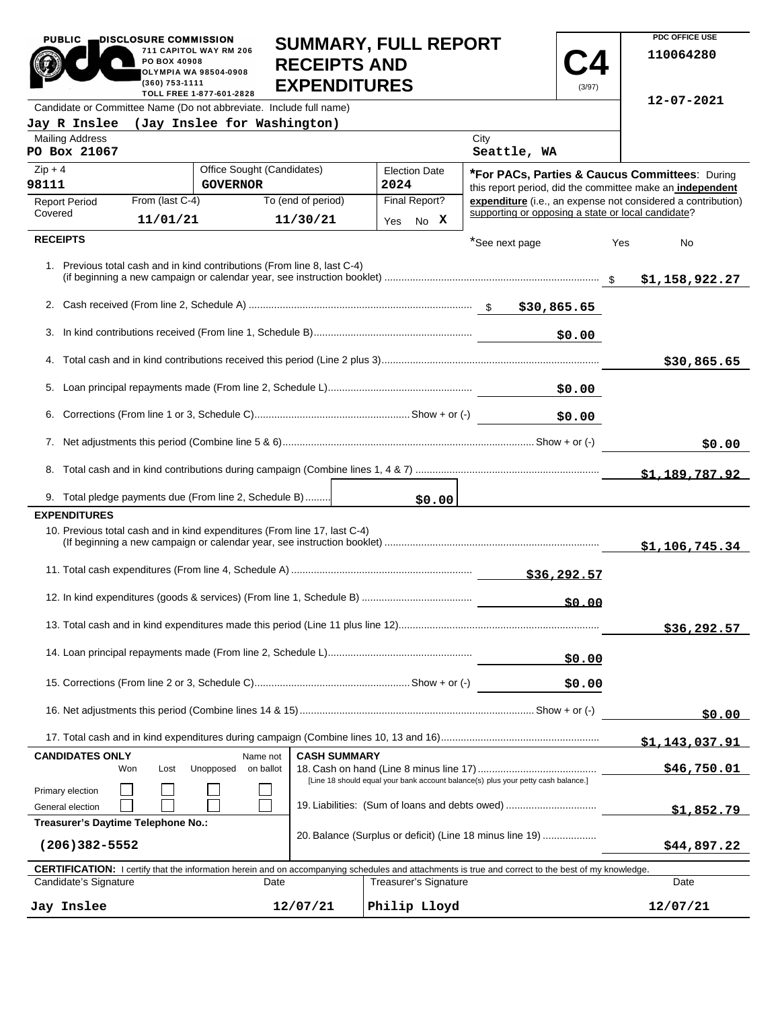| <b>PUBLIC</b>                                           | DISCLOSURE COMMISSION          |                                                                                                | <b>SUMMARY, FULL REPORT</b>                |      |                       |                                                                                                                                                            |              |     | PDC OFFICE USE                                               |
|---------------------------------------------------------|--------------------------------|------------------------------------------------------------------------------------------------|--------------------------------------------|------|-----------------------|------------------------------------------------------------------------------------------------------------------------------------------------------------|--------------|-----|--------------------------------------------------------------|
|                                                         | PO BOX 40908<br>(360) 753-1111 | 711 CAPITOL WAY RM 206<br>OLYMPIA WA 98504-0908                                                | <b>RECEIPTS AND</b><br><b>EXPENDITURES</b> |      |                       |                                                                                                                                                            | (3/97)       |     | 110064280                                                    |
|                                                         |                                | TOLL FREE 1-877-601-2828<br>Candidate or Committee Name (Do not abbreviate. Include full name) |                                            |      |                       |                                                                                                                                                            |              |     | $12 - 07 - 2021$                                             |
| Jay R Inslee                                            |                                | (Jay Inslee for Washington)                                                                    |                                            |      |                       |                                                                                                                                                            |              |     |                                                              |
| <b>Mailing Address</b><br>PO Box 21067                  |                                |                                                                                                |                                            |      |                       | City<br>Seattle, WA                                                                                                                                        |              |     |                                                              |
| $Zip + 4$<br>98111                                      |                                | Office Sought (Candidates)<br><b>GOVERNOR</b>                                                  |                                            | 2024 | <b>Election Date</b>  | *For PACs, Parties & Caucus Committees: During<br>this report period, did the committee make an independent                                                |              |     |                                                              |
| <b>Report Period</b>                                    | From (last C-4)                |                                                                                                | To (end of period)                         |      | Final Report?         |                                                                                                                                                            |              |     | expenditure (i.e., an expense not considered a contribution) |
| Covered                                                 | 11/01/21                       |                                                                                                | 11/30/21                                   |      | Yes No X              | supporting or opposing a state or local candidate?                                                                                                         |              |     |                                                              |
| <b>RECEIPTS</b>                                         |                                |                                                                                                |                                            |      |                       | *See next page                                                                                                                                             |              | Yes | No                                                           |
|                                                         |                                | 1. Previous total cash and in kind contributions (From line 8, last C-4)                       |                                            |      |                       |                                                                                                                                                            |              |     | \$1,158,922.27                                               |
|                                                         |                                |                                                                                                |                                            |      |                       |                                                                                                                                                            |              |     |                                                              |
| 3.                                                      |                                |                                                                                                |                                            |      |                       |                                                                                                                                                            | \$0.00       |     |                                                              |
|                                                         |                                |                                                                                                |                                            |      |                       |                                                                                                                                                            |              |     | \$30,865.65                                                  |
|                                                         |                                |                                                                                                |                                            |      |                       |                                                                                                                                                            |              |     |                                                              |
|                                                         |                                |                                                                                                |                                            |      |                       |                                                                                                                                                            | \$0.00       |     |                                                              |
|                                                         |                                |                                                                                                |                                            |      |                       |                                                                                                                                                            |              |     | \$0.00                                                       |
|                                                         |                                |                                                                                                |                                            |      |                       |                                                                                                                                                            |              |     | \$1,189,787.92                                               |
|                                                         |                                | 9. Total pledge payments due (From line 2, Schedule B)                                         |                                            |      | \$0.00                |                                                                                                                                                            |              |     |                                                              |
| <b>EXPENDITURES</b>                                     |                                |                                                                                                |                                            |      |                       |                                                                                                                                                            |              |     |                                                              |
|                                                         |                                | 10. Previous total cash and in kind expenditures (From line 17, last C-4)                      |                                            |      |                       |                                                                                                                                                            |              |     | \$1,106,745.34                                               |
|                                                         |                                |                                                                                                |                                            |      |                       |                                                                                                                                                            | \$36,292.57  |     |                                                              |
|                                                         |                                |                                                                                                |                                            |      |                       |                                                                                                                                                            | <u>50.00</u> |     |                                                              |
|                                                         |                                |                                                                                                |                                            |      |                       |                                                                                                                                                            |              |     | \$36,292.57                                                  |
|                                                         |                                |                                                                                                |                                            |      |                       |                                                                                                                                                            | \$0.00       |     |                                                              |
|                                                         |                                |                                                                                                |                                            |      |                       |                                                                                                                                                            | \$0.00       |     |                                                              |
|                                                         |                                |                                                                                                |                                            |      |                       |                                                                                                                                                            |              |     | \$0.00                                                       |
|                                                         |                                |                                                                                                |                                            |      |                       |                                                                                                                                                            |              |     | <u>\$1,143,037.91</u>                                        |
| <b>CANDIDATES ONLY</b>                                  | Won<br>Lost                    | Name not<br>Unopposed<br>on ballot                                                             | <b>CASH SUMMARY</b>                        |      |                       |                                                                                                                                                            |              |     | \$46,750.01                                                  |
| Primary election                                        |                                |                                                                                                |                                            |      |                       | [Line 18 should equal your bank account balance(s) plus your petty cash balance.]                                                                          |              |     |                                                              |
| General election                                        |                                |                                                                                                |                                            |      |                       | 19. Liabilities: (Sum of loans and debts owed)                                                                                                             |              |     | <u>\$1,852.79</u>                                            |
| Treasurer's Daytime Telephone No.:<br>$(206)382 - 5552$ |                                |                                                                                                |                                            |      |                       | 20. Balance (Surplus or deficit) (Line 18 minus line 19)                                                                                                   |              |     | \$44,897.22                                                  |
|                                                         |                                |                                                                                                |                                            |      |                       |                                                                                                                                                            |              |     |                                                              |
| Candidate's Signature                                   |                                | Date                                                                                           |                                            |      | Treasurer's Signature | <b>CERTIFICATION:</b> I certify that the information herein and on accompanying schedules and attachments is true and correct to the best of my knowledge. |              |     | Date                                                         |
| Jay Inslee                                              |                                |                                                                                                | 12/07/21                                   |      | Philip Lloyd          |                                                                                                                                                            |              |     | 12/07/21                                                     |

**PDC OFFICE USE** 

PUBLIC **DISCLOSURE COMMISSION**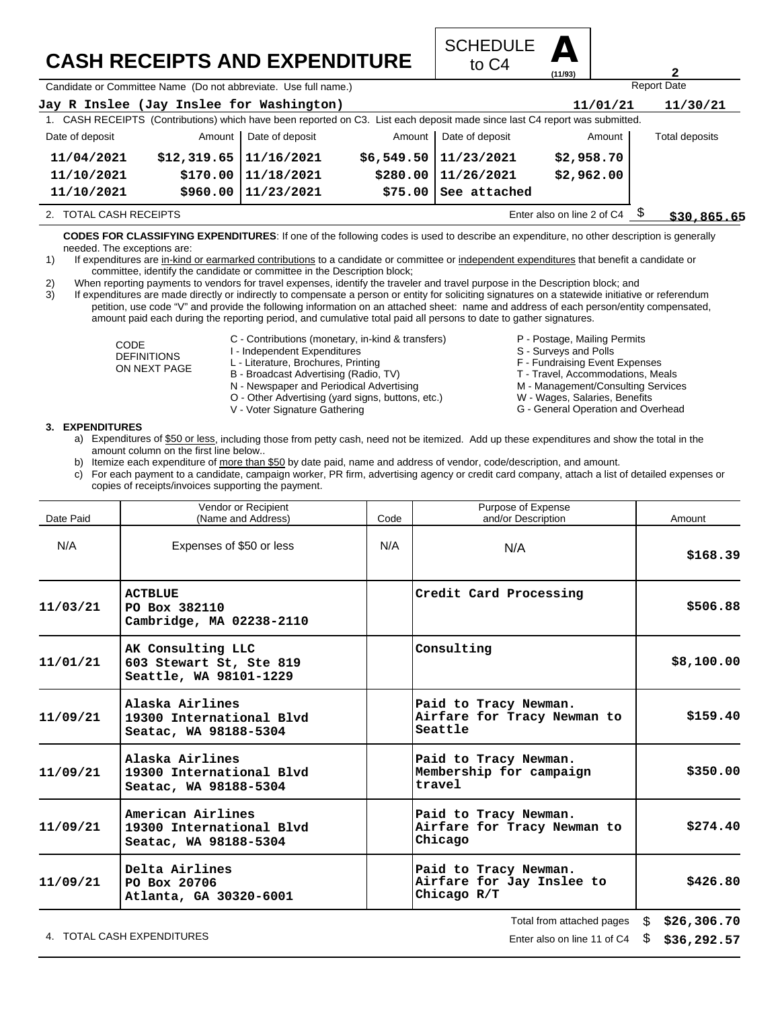## **CASH RECEIPTS AND EXPENDITURE**



Candidate or Committee Name (Do not abbreviate. Use full name.)

| Jay R Inslee (Jay Inslee for Washington) |                             |                          |        |                                                                                                                             | 11/01/21                   | 11/30/21       |
|------------------------------------------|-----------------------------|--------------------------|--------|-----------------------------------------------------------------------------------------------------------------------------|----------------------------|----------------|
|                                          |                             |                          |        | 1. CASH RECEIPTS (Contributions) which have been reported on C3. List each deposit made since last C4 report was submitted. |                            |                |
| Date of deposit                          |                             | Amount   Date of deposit | Amount | Date of deposit                                                                                                             | Amount                     | Total deposits |
| 11/04/2021                               | $$12,319.65$   $11/16/2021$ |                          |        | $$6,549.50 \mid 11/23/2021$                                                                                                 | \$2,958.70                 |                |
| 11/10/2021                               |                             | \$170.00 11/18/2021      |        | $$280.00$   11/26/2021                                                                                                      | \$2,962.00                 |                |
| 11/10/2021                               |                             | \$960.00 11/23/2021      |        | $$75.00$ See attached                                                                                                       |                            |                |
| 2. TOTAL CASH RECEIPTS                   |                             |                          |        |                                                                                                                             | Enter also on line 2 of C4 | \$30,865.65    |

**CODES FOR CLASSIFYING EXPENDITURES**: If one of the following codes is used to describe an expenditure, no other description is generally needed. The exceptions are:

- 1) If expenditures are in-kind or earmarked contributions to a candidate or committee or independent expenditures that benefit a candidate or committee, identify the candidate or committee in the Description block;
- 2) When reporting payments to vendors for travel expenses, identify the traveler and travel purpose in the Description block; and

3) If expenditures are made directly or indirectly to compensate a person or entity for soliciting signatures on a statewide initiative or referendum petition, use code "V" and provide the following information on an attached sheet: name and address of each person/entity compensated, amount paid each during the reporting period, and cumulative total paid all persons to date to gather signatures.

> CODE DEFINITIONS ON NEXT PAGE

- C Contributions (monetary, in-kind & transfers)
- I Independent Expenditures
- L Literature, Brochures, Printing
- B Broadcast Advertising (Radio, TV)
- N Newspaper and Periodical Advertising
- O Other Advertising (yard signs, buttons, etc.)
- V Voter Signature Gathering
- P Postage, Mailing Permits
- 
- S Surveys and Polls
- F Fundraising Event Expenses
- T Travel, Accommodations, Meals

Report Date

**2**

- M Management/Consulting Services
- W Wages, Salaries, Benefits G - General Operation and Overhead

- **3. EXPENDITURES**
	- a) Expenditures of \$50 or less, including those from petty cash, need not be itemized. Add up these expenditures and show the total in the amount column on the first line below..
	- b) Itemize each expenditure of more than \$50 by date paid, name and address of vendor, code/description, and amount.
	- c) For each payment to a candidate, campaign worker, PR firm, advertising agency or credit card company, attach a list of detailed expenses or copies of receipts/invoices supporting the payment.

| Date Paid | Vendor or Recipient<br>(Name and Address)                              | Code | Purpose of Expense<br>and/or Description                          | Amount     |
|-----------|------------------------------------------------------------------------|------|-------------------------------------------------------------------|------------|
| N/A       | Expenses of \$50 or less                                               | N/A  | N/A                                                               | \$168.39   |
| 11/03/21  | <b>ACTBLUE</b><br>PO Box 382110<br>Cambridge, MA 02238-2110            |      | Credit Card Processing                                            | \$506.88   |
| 11/01/21  | AK Consulting LLC<br>603 Stewart St, Ste 819<br>Seattle, WA 98101-1229 |      | Consulting                                                        | \$8,100.00 |
| 11/09/21  | Alaska Airlines<br>19300 International Blvd<br>Seatac, WA 98188-5304   |      | Paid to Tracy Newman.<br>Airfare for Tracy Newman to<br>Seattle   | \$159.40   |
| 11/09/21  | Alaska Airlines<br>19300 International Blvd<br>Seatac, WA 98188-5304   |      | Paid to Tracy Newman.<br>Membership for campaign<br>travel        | \$350.00   |
| 11/09/21  | American Airlines<br>19300 International Blvd<br>Seatac, WA 98188-5304 |      | Paid to Tracy Newman.<br>Airfare for Tracy Newman to<br>Chicago   | \$274.40   |
| 11/09/21  | Delta Airlines<br>PO Box 20706<br>Atlanta, GA 30320-6001               |      | Paid to Tracy Newman.<br>Airfare for Jay Inslee to<br>Chicago R/T | \$426.80   |
|           |                                                                        |      | $Total from attached$ $0.9886$ $0.726$ $306$ $70$                 |            |

4. TOTAL CASH EXPENDITURES **EXAMPLE 12** ON STATE 11 OF C4 \$

l otal from attached pages \$ **\$26,306.70 \$36,292.57**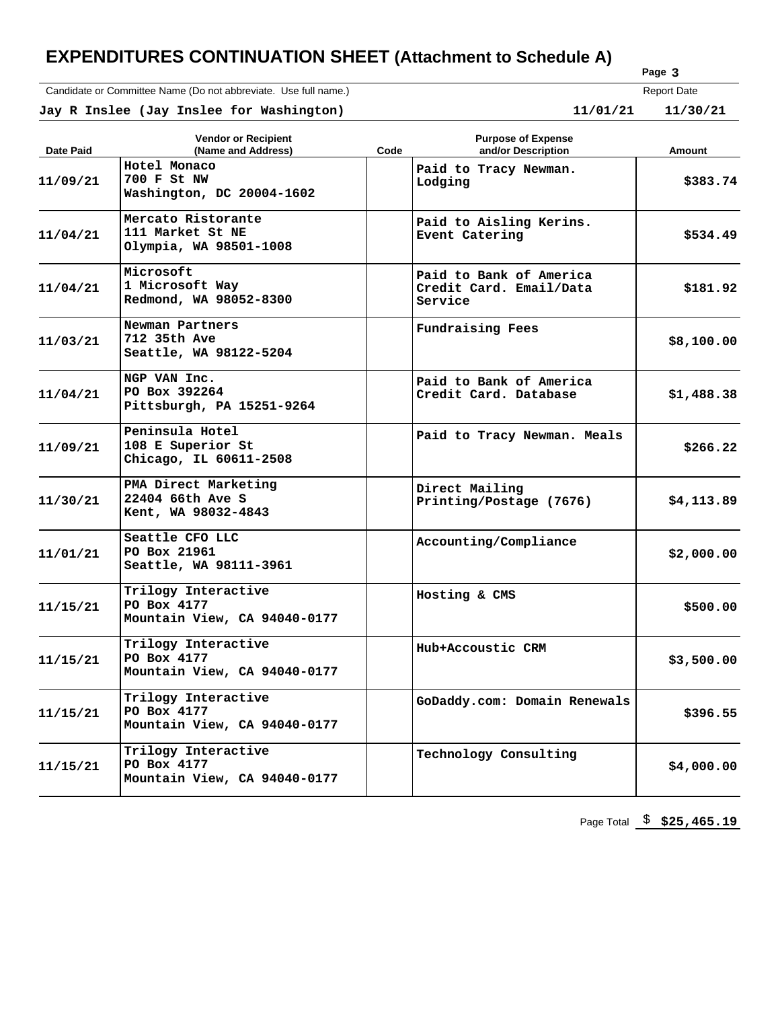### **EXPENDITURES CONTINUATION SHEET (Attachment to Schedule A)**

Candidate or Committee Name (Do not abbreviate. Use full name.)

**Page 3** Report Date

 **Jay R Inslee (Jay Inslee for Washington) 11/01/21 11/30/21**  $11/30/21$ 

| Date Paid | <b>Vendor or Recipient</b><br>(Name and Address)                   | Code | <b>Purpose of Expense</b><br>and/or Description               | Amount     |
|-----------|--------------------------------------------------------------------|------|---------------------------------------------------------------|------------|
| 11/09/21  | Hotel Monaco<br>700 F St NW<br>Washington, DC 20004-1602           |      | Paid to Tracy Newman.<br>Lodging                              | \$383.74   |
| 11/04/21  | Mercato Ristorante<br>111 Market St NE<br>Olympia, WA 98501-1008   |      | Paid to Aisling Kerins.<br>Event Catering                     | \$534.49   |
| 11/04/21  | Microsoft<br>1 Microsoft Way<br>Redmond, WA 98052-8300             |      | Paid to Bank of America<br>Credit Card. Email/Data<br>Service | \$181.92   |
| 11/03/21  | Newman Partners<br>712 35th Ave<br>Seattle, WA 98122-5204          |      | Fundraising Fees                                              | \$8,100.00 |
| 11/04/21  | NGP VAN Inc.<br>PO Box 392264<br>Pittsburgh, PA 15251-9264         |      | Paid to Bank of America<br>Credit Card. Database              | \$1,488.38 |
| 11/09/21  | Peninsula Hotel<br>108 E Superior St<br>Chicago, IL 60611-2508     |      | Paid to Tracy Newman. Meals                                   | \$266.22   |
| 11/30/21  | PMA Direct Marketing<br>22404 66th Ave S<br>Kent, WA 98032-4843    |      | Direct Mailing<br>Printing/Postage (7676)                     | \$4,113.89 |
| 11/01/21  | Seattle CFO LLC<br>PO Box 21961<br>Seattle, WA 98111-3961          |      | Accounting/Compliance                                         | \$2,000.00 |
| 11/15/21  | Trilogy Interactive<br>PO Box 4177<br>Mountain View, CA 94040-0177 |      | Hosting & CMS                                                 | \$500.00   |
| 11/15/21  | Trilogy Interactive<br>PO Box 4177<br>Mountain View, CA 94040-0177 |      | Hub+Accoustic CRM                                             | \$3,500.00 |
| 11/15/21  | Trilogy Interactive<br>PO Box 4177<br>Mountain View, CA 94040-0177 |      | GoDaddy.com: Domain Renewals                                  | \$396.55   |
| 11/15/21  | Trilogy Interactive<br>PO Box 4177<br>Mountain View, CA 94040-0177 |      | Technology Consulting                                         | \$4,000.00 |

Page Total  $\frac{\$}{25,465.19}$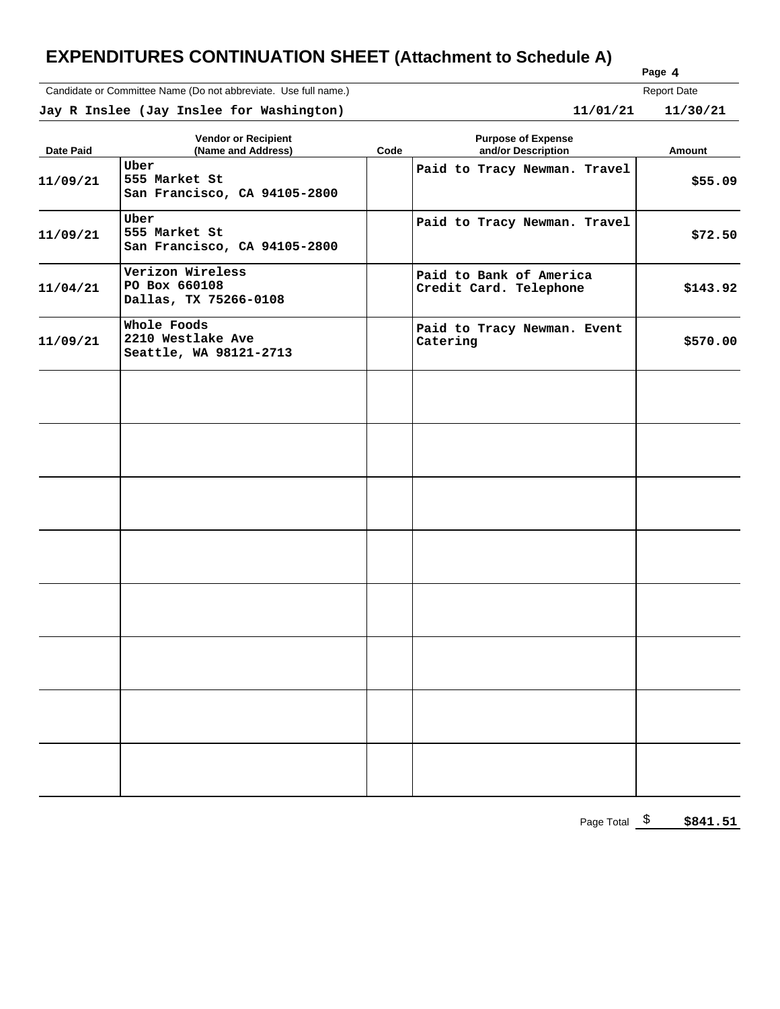### **EXPENDITURES CONTINUATION SHEET (Attachment to Schedule A)**

Candidate or Committee Name (Do not abbreviate. Use full name.)

| Page 4             |
|--------------------|
| <b>Report Date</b> |

 **Jay R Inslee (Jay Inslee for Washington) 11/01/21 11/30/21**  $11/30/21$ 

| <b>Date Paid</b> | <b>Vendor or Recipient</b><br>(Name and Address)           | Code | <b>Purpose of Expense</b><br>and/or Description   | Amount   |
|------------------|------------------------------------------------------------|------|---------------------------------------------------|----------|
| 11/09/21         | Uber<br>555 Market St<br>San Francisco, CA 94105-2800      |      | Paid to Tracy Newman. Travel                      | \$55.09  |
| 11/09/21         | Uber<br>555 Market St<br>San Francisco, CA 94105-2800      |      | Paid to Tracy Newman. Travel                      | \$72.50  |
| 11/04/21         | Verizon Wireless<br>PO Box 660108<br>Dallas, TX 75266-0108 |      | Paid to Bank of America<br>Credit Card. Telephone | \$143.92 |
| 11/09/21         | Whole Foods<br>2210 Westlake Ave<br>Seattle, WA 98121-2713 |      | Paid to Tracy Newman. Event<br>Catering           | \$570.00 |
|                  |                                                            |      |                                                   |          |
|                  |                                                            |      |                                                   |          |
|                  |                                                            |      |                                                   |          |
|                  |                                                            |      |                                                   |          |
|                  |                                                            |      |                                                   |          |
|                  |                                                            |      |                                                   |          |
|                  |                                                            |      |                                                   |          |
|                  |                                                            |      |                                                   |          |

Page Total  $\frac{\$}{2}$  \$841.51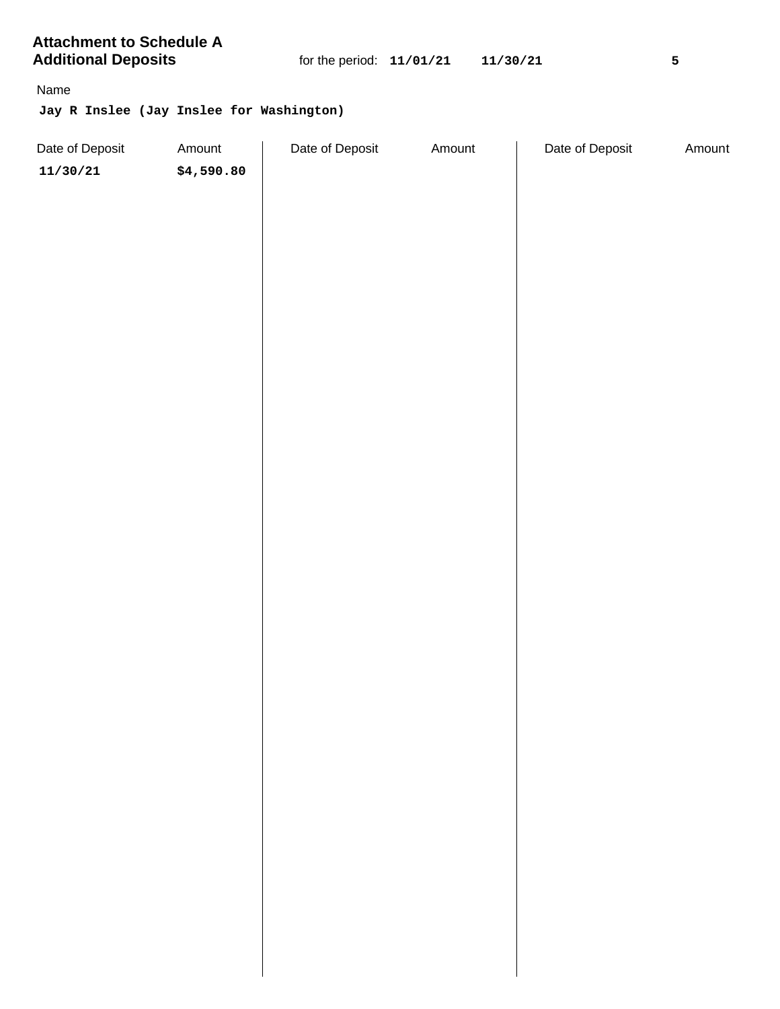**Attachment to Schedule A Additional Deposits** 

Name

**Jay R Inslee (Jay Inslee for Washington)**

| \$4,590.80<br>11/30/21 |  |  |
|------------------------|--|--|
|                        |  |  |
|                        |  |  |
|                        |  |  |
|                        |  |  |
|                        |  |  |
|                        |  |  |
|                        |  |  |
|                        |  |  |
|                        |  |  |
|                        |  |  |
|                        |  |  |
|                        |  |  |
|                        |  |  |
|                        |  |  |
|                        |  |  |
|                        |  |  |
|                        |  |  |
|                        |  |  |
|                        |  |  |
|                        |  |  |
|                        |  |  |
|                        |  |  |
|                        |  |  |
|                        |  |  |
|                        |  |  |
|                        |  |  |
|                        |  |  |
|                        |  |  |
|                        |  |  |
|                        |  |  |
|                        |  |  |
|                        |  |  |
|                        |  |  |
|                        |  |  |
|                        |  |  |
|                        |  |  |
|                        |  |  |
|                        |  |  |
|                        |  |  |